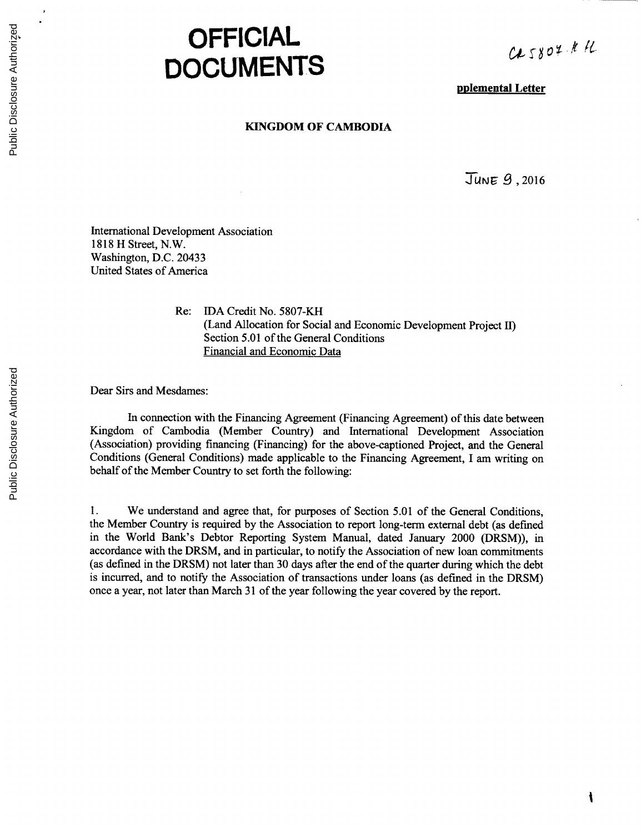## **OFFICIAL DOCUMENTS**

**plemental Letter**

## **KINGDOM OF CAMBODIA**

JUNE 9, 2016

International Development Association **1818** H Street, N.W. Washington, **D.C.** 20433 United States of America

> Re: IDA Credit No. **5807-KH** (Land Allocation for Social and Economic Development Project II) Section **5.01** of the General Conditions Financial and Economic Data

Dear Sirs and Mesdames:

In connection with the Financing Agreement (Financing Agreement) of this date between Kingdom of Cambodia (Member Country) and International Development Association (Association) providing financing (Financing) for the above-captioned Project, and the General Conditions (General Conditions) made applicable to the Financing Agreement, **I** am writing on behalf of the Member Country to set forth the following:

**1.** We understand and agree that, for purposes of Section **5.01** of the General Conditions, the Member Country is required **by** the Association to report long-term external debt (as defined in the World Bank's Debtor Reporting System Manual, dated January 2000 (DRSM)), *in* accordance with the DRSM, and in particular, to notify the Association of new loan commitments (as defined in the DRSM) not later than **30** days after the end of the quarter during which the debt is incurred, and to notify the Association of transactions under loans (as defined in the DRSM) once a year, not later than March **31** of the year following the year covered **by** the report.